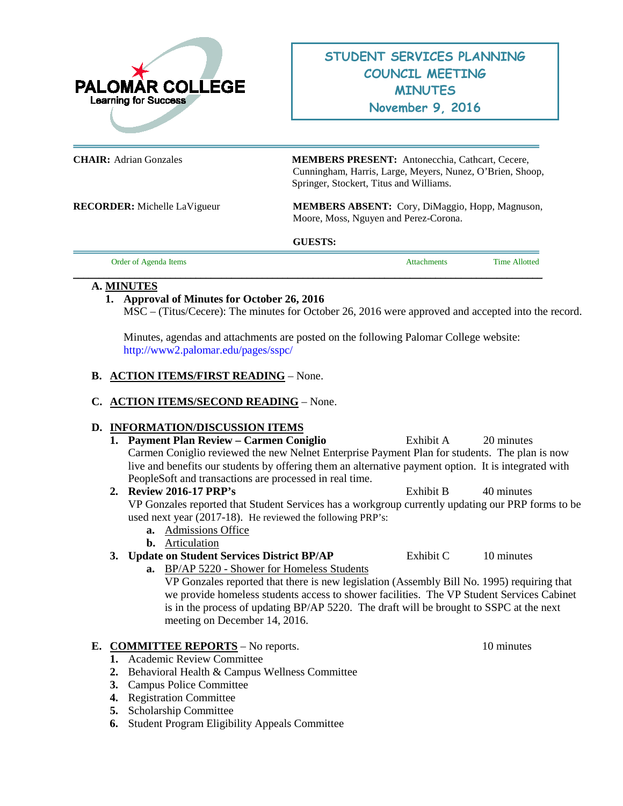

**CHAIR:** Adrian Gonzales **MEMBERS PRESENT:** Antonecchia, Cathcart, Cecere, Cunningham, Harris, Large, Meyers, Nunez, O'Brien, Shoop, Springer, Stockert, Titus and Williams.

**RECORDER:** Michelle LaVigueur **MEMBERS ABSENT:** Cory, DiMaggio, Hopp, Magnuson, Moore, Moss, Nguyen and Perez-Corona.

**GUESTS:** 

| Order of Agenda Items | ttachments | <b>Time Allotted</b> |
|-----------------------|------------|----------------------|
|                       |            |                      |

### **A. MINUTES**

# **1. Approval of Minutes for October 26, 2016**

MSC – (Titus/Cecere): The minutes for October 26, 2016 were approved and accepted into the record.

Minutes, agendas and attachments are posted on the following Palomar College website: <http://www2.palomar.edu/pages/sspc/>

#### **B. ACTION ITEMS/FIRST READING** – None.

### **C. ACTION ITEMS/SECOND READING** – None.

#### **D. INFORMATION/DISCUSSION ITEMS**

- **1. Payment Plan Review Carmen Coniglio** Exhibit A 20 minutes Carmen Coniglio reviewed the new Nelnet Enterprise Payment Plan for students. The plan is now live and benefits our students by offering them an alternative payment option. It is integrated with PeopleSoft and transactions are processed in real time.
- **2. Review 2016-17 PRP's** Exhibit B 40 minutes VP Gonzales reported that Student Services has a workgroup currently updating our PRP forms to be used next year (2017-18). He reviewed the following PRP's:
	- **a.** Admissions Office
	- **b.** Articulation
- **3. Update on Student Services District BP/AP** Exhibit C 10 minutes
	- **a.** BP/AP 5220 Shower for Homeless Students

VP Gonzales reported that there is new legislation (Assembly Bill No. 1995) requiring that we provide homeless students access to shower facilities. The VP Student Services Cabinet is in the process of updating BP/AP 5220. The draft will be brought to SSPC at the next meeting on December 14, 2016.

## **E. COMMITTEE REPORTS** – No reports. 10 minutes

- **1.** Academic Review Committee
- **2.** Behavioral Health & Campus Wellness Committee
- **3.** Campus Police Committee
- **4.** Registration Committee
- **5.** Scholarship Committee
- **6.** Student Program Eligibility Appeals Committee